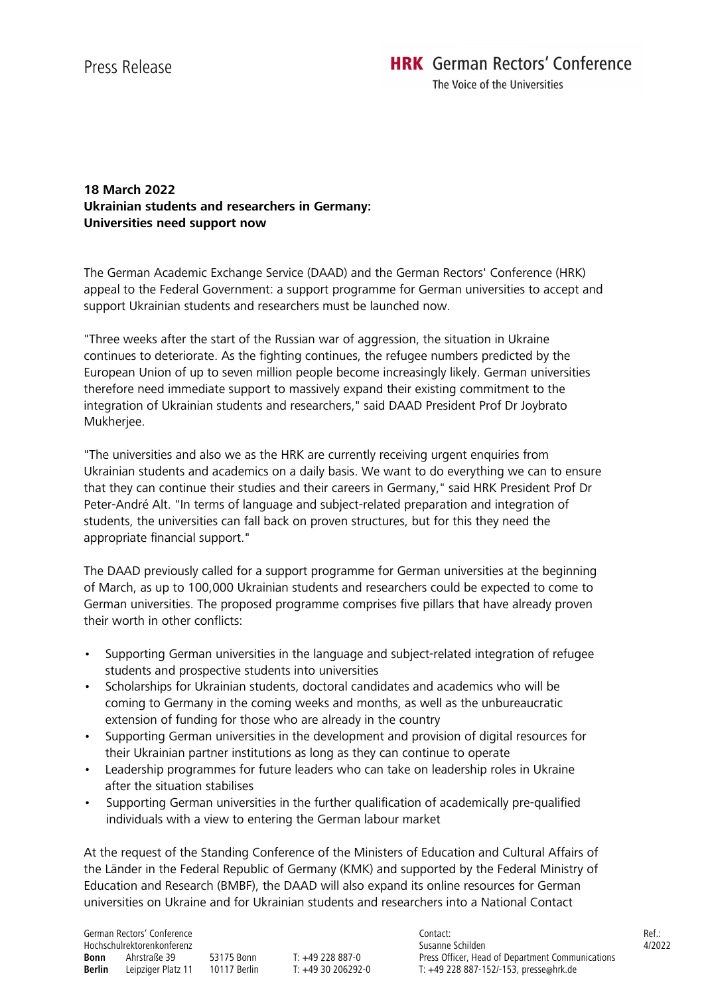The Voice of the Universities

## **18 March 2022 Ukrainian students and researchers in Germany: Universities need support now**

The German Academic Exchange Service (DAAD) and the German Rectors' Conference (HRK) appeal to the Federal Government: a support programme for German universities to accept and support Ukrainian students and researchers must be launched now.

"Three weeks after the start of the Russian war of aggression, the situation in Ukraine continues to deteriorate. As the fighting continues, the refugee numbers predicted by the European Union of up to seven million people become increasingly likely. German universities therefore need immediate support to massively expand their existing commitment to the integration of Ukrainian students and researchers," said DAAD President Prof Dr Joybrato Mukherjee.

"The universities and also we as the HRK are currently receiving urgent enquiries from Ukrainian students and academics on a daily basis. We want to do everything we can to ensure that they can continue their studies and their careers in Germany," said HRK President Prof Dr Peter-André Alt. "In terms of language and subject-related preparation and integration of students, the universities can fall back on proven structures, but for this they need the appropriate financial support."

The DAAD previously called for a support programme for German universities at the beginning of March, as up to 100,000 Ukrainian students and researchers could be expected to come to German universities. The proposed programme comprises five pillars that have already proven their worth in other conflicts:

- Supporting German universities in the language and subject-related integration of refugee students and prospective students into universities
- Scholarships for Ukrainian students, doctoral candidates and academics who will be coming to Germany in the coming weeks and months, as well as the unbureaucratic extension of funding for those who are already in the country
- Supporting German universities in the development and provision of digital resources for their Ukrainian partner institutions as long as they can continue to operate
- Leadership programmes for future leaders who can take on leadership roles in Ukraine after the situation stabilises
- Supporting German universities in the further qualification of academically pre-qualified individuals with a view to entering the German labour market

At the request of the Standing Conference of the Ministers of Education and Cultural Affairs of the Länder in the Federal Republic of Germany (KMK) and supported by the Federal Ministry of Education and Research (BMBF), the DAAD will also expand its online resources for German universities on Ukraine and for Ukrainian students and researchers into a National Contact